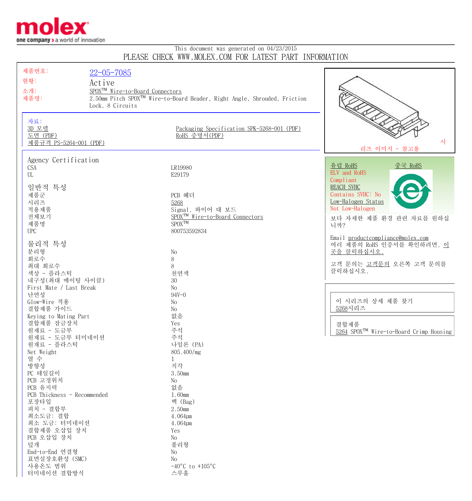

## This document was generated on 04/23/2015 PLEASE CHECK WWW.MOLEX.COM FOR LATEST PART INFORMATION

| 제품번호:                       | $22 - 05 - 7085$                            |                                                                                      |                                                     |
|-----------------------------|---------------------------------------------|--------------------------------------------------------------------------------------|-----------------------------------------------------|
| 현황:                         |                                             |                                                                                      |                                                     |
|                             | Active                                      |                                                                                      |                                                     |
| 소개:                         | SPOX <sup>TM</sup> Wire-to-Board Connectors |                                                                                      |                                                     |
| 제품명:                        |                                             | 2.50mm Pitch SPOX <sup>™</sup> Wire-to-Board Header, Right Angle, Shrouded, Friction |                                                     |
|                             | Lock, 8 Circuits                            |                                                                                      |                                                     |
|                             |                                             |                                                                                      |                                                     |
| 자료:                         |                                             |                                                                                      |                                                     |
| 3D 모델                       |                                             | Packaging Specification SPK-5268-001 (PDF)                                           |                                                     |
| 도면 (PDF)                    |                                             | RoHS 증명서(PDF)                                                                        |                                                     |
| 제품규격 PS-5264-001 (PDF)      |                                             |                                                                                      | 자                                                   |
|                             |                                             |                                                                                      | 리즈 이미지 - 참고용                                        |
| Agency Certification        |                                             |                                                                                      |                                                     |
|                             |                                             |                                                                                      | <u>유럽 RoHS</u><br><u>중국 RoHS</u>                    |
| <b>CSA</b>                  |                                             | LR19980                                                                              | ELV and RoHS                                        |
| UL                          |                                             | E29179                                                                               | Compliant                                           |
|                             |                                             |                                                                                      | <b>REACH SVHC</b>                                   |
| 일반적 특성                      |                                             |                                                                                      |                                                     |
| 제품군                         |                                             | PCB 헤더                                                                               | Contains SVHC: No                                   |
| 시리즈                         |                                             | 5268                                                                                 | Low-Halogen Status                                  |
| 적용제품                        |                                             | Signal, 와이어 대 보드                                                                     | Not Low-Halogen                                     |
| 전체보기                        |                                             | SPOX <sup>TM</sup> Wire-to-Board Connectors                                          | 보다 자세한 제품 환경 관련 자료를 원하십                             |
| 제품명                         |                                             | $SPOX^{TM}$                                                                          | 니까?                                                 |
| <b>UPC</b>                  |                                             | 800753592834                                                                         |                                                     |
|                             |                                             |                                                                                      | Email productcompliance@molex.com                   |
| 물리적 특성                      |                                             |                                                                                      | 여러 제품의 RoHS 인증서를 확인하려면, 이                           |
| 분리형                         |                                             | No                                                                                   | 곳을 클릭하십시오.                                          |
| 회로수                         |                                             | $8\,$                                                                                |                                                     |
| 최대 회로수                      |                                             | 8                                                                                    | 고객 문의는 고객문의 오른쪽 고객 문의를                              |
| 색상 - 플라스틱                   |                                             | 천연색                                                                                  | 클릭하십시오.                                             |
| 내구성(최대 메이팅 사이클)             |                                             | 30                                                                                   |                                                     |
| First Mate / Last Break     |                                             | No                                                                                   |                                                     |
| 난연성                         |                                             | $94V - 0$                                                                            |                                                     |
| Glow-Wire 적용                |                                             | No                                                                                   | 이 시리즈의 상세 제품 찾기                                     |
| 결합제품 가이드                    |                                             | No                                                                                   | 5268시리즈                                             |
| Keying to Mating Part       |                                             | 없음                                                                                   |                                                     |
| 결합제품 잠금장치                   |                                             | Yes                                                                                  | 결합제품                                                |
| 원재료 - 도금부                   |                                             | 주석                                                                                   | 5264 SPOX <sup>TM</sup> Wire-to-Board Crimp Housing |
| 원재료 - 도금부 터미네이션             |                                             | 주석                                                                                   |                                                     |
| 원재료 - 플라스틱                  |                                             | 나일론 (PA)                                                                             |                                                     |
| Net Weight                  |                                             | 805.400/mg                                                                           |                                                     |
| 열 수                         |                                             | $\mathbf{1}$                                                                         |                                                     |
| 방향성                         |                                             | 직각                                                                                   |                                                     |
| PC 테일길이                     |                                             | 3.50mm                                                                               |                                                     |
| PCB 고정위치                    |                                             | No                                                                                   |                                                     |
| PCB 유지력                     |                                             | 없음                                                                                   |                                                     |
| PCB Thickness - Recommended |                                             | 1.60mm                                                                               |                                                     |
| 포장타입                        |                                             | 백 (Bag)                                                                              |                                                     |
| 피치 - 결합부                    |                                             | 2.50mm                                                                               |                                                     |
| 최소도금: 결합                    |                                             | 4.064µm                                                                              |                                                     |
| 최소 도금: 터미네이션                |                                             | 4.064µm                                                                              |                                                     |
| 결합제품 오삽입 장치                 |                                             | Yes                                                                                  |                                                     |
| PCB 오삽입 장치                  |                                             | No                                                                                   |                                                     |
| 덮개                          |                                             | 풀리형                                                                                  |                                                     |
| End-to-End 연결형              |                                             | No                                                                                   |                                                     |
| 표면실장호환성 (SMC)               |                                             | No                                                                                   |                                                     |
| 사용온도 범위                     |                                             | $-40^{\circ}$ C to $+105^{\circ}$ C                                                  |                                                     |
| 터미네이션 결합방식                  |                                             | 스루홀                                                                                  |                                                     |
|                             |                                             |                                                                                      |                                                     |